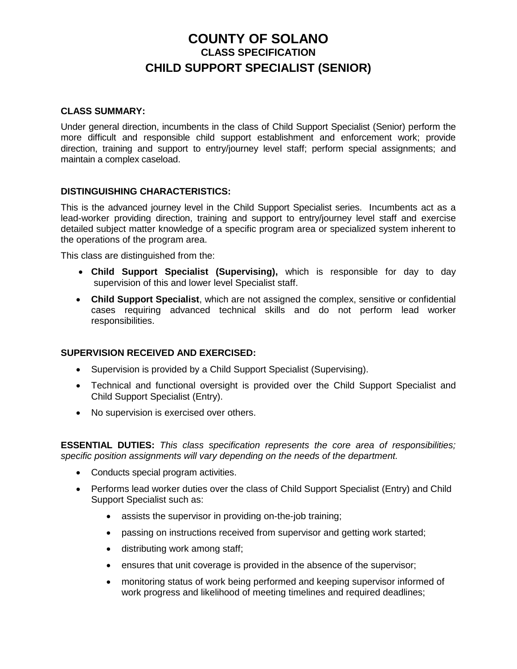# **COUNTY OF SOLANO CLASS SPECIFICATION CHILD SUPPORT SPECIALIST (SENIOR)**

#### **CLASS SUMMARY:**

Under general direction, incumbents in the class of Child Support Specialist (Senior) perform the more difficult and responsible child support establishment and enforcement work; provide direction, training and support to entry/journey level staff; perform special assignments; and maintain a complex caseload.

#### **DISTINGUISHING CHARACTERISTICS:**

This is the advanced journey level in the Child Support Specialist series. Incumbents act as a lead-worker providing direction, training and support to entry/journey level staff and exercise detailed subject matter knowledge of a specific program area or specialized system inherent to the operations of the program area.

This class are distinguished from the:

- **Child Support Specialist (Supervising),** which is responsible for day to day supervision of this and lower level Specialist staff.
- **Child Support Specialist**, which are not assigned the complex, sensitive or confidential cases requiring advanced technical skills and do not perform lead worker responsibilities.

#### **SUPERVISION RECEIVED AND EXERCISED:**

- Supervision is provided by a Child Support Specialist (Supervising).
- Technical and functional oversight is provided over the Child Support Specialist and Child Support Specialist (Entry).
- No supervision is exercised over others.

**ESSENTIAL DUTIES:** *This class specification represents the core area of responsibilities; specific position assignments will vary depending on the needs of the department.*

- Conducts special program activities.
- Performs lead worker duties over the class of Child Support Specialist (Entry) and Child Support Specialist such as:
	- assists the supervisor in providing on-the-job training;
	- passing on instructions received from supervisor and getting work started;
	- distributing work among staff;
	- ensures that unit coverage is provided in the absence of the supervisor;
	- monitoring status of work being performed and keeping supervisor informed of work progress and likelihood of meeting timelines and required deadlines;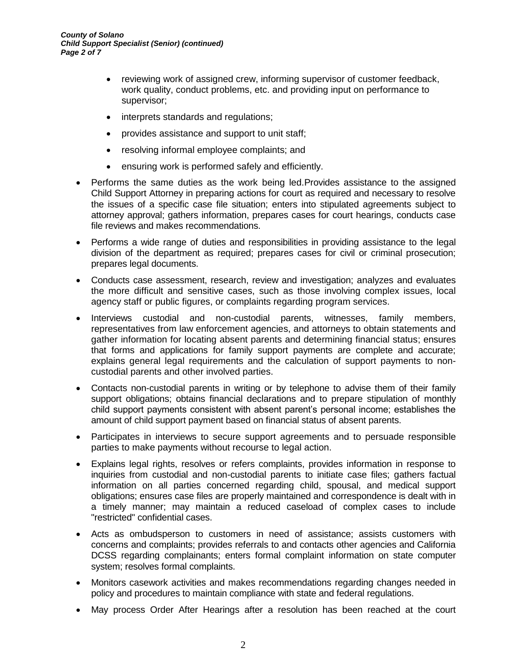- reviewing work of assigned crew, informing supervisor of customer feedback, work quality, conduct problems, etc. and providing input on performance to supervisor;
- interprets standards and regulations;
- provides assistance and support to unit staff;
- resolving informal employee complaints; and
- ensuring work is performed safely and efficiently.
- Performs the same duties as the work being led.Provides assistance to the assigned Child Support Attorney in preparing actions for court as required and necessary to resolve the issues of a specific case file situation; enters into stipulated agreements subject to attorney approval; gathers information, prepares cases for court hearings, conducts case file reviews and makes recommendations.
- Performs a wide range of duties and responsibilities in providing assistance to the legal division of the department as required; prepares cases for civil or criminal prosecution; prepares legal documents.
- Conducts case assessment, research, review and investigation; analyzes and evaluates the more difficult and sensitive cases, such as those involving complex issues, local agency staff or public figures, or complaints regarding program services.
- Interviews custodial and non-custodial parents, witnesses, family members, representatives from law enforcement agencies, and attorneys to obtain statements and gather information for locating absent parents and determining financial status; ensures that forms and applications for family support payments are complete and accurate; explains general legal requirements and the calculation of support payments to noncustodial parents and other involved parties.
- Contacts non-custodial parents in writing or by telephone to advise them of their family support obligations; obtains financial declarations and to prepare stipulation of monthly child support payments consistent with absent parent's personal income; establishes the amount of child support payment based on financial status of absent parents.
- Participates in interviews to secure support agreements and to persuade responsible parties to make payments without recourse to legal action.
- Explains legal rights, resolves or refers complaints, provides information in response to inquiries from custodial and non-custodial parents to initiate case files; gathers factual information on all parties concerned regarding child, spousal, and medical support obligations; ensures case files are properly maintained and correspondence is dealt with in a timely manner; may maintain a reduced caseload of complex cases to include "restricted" confidential cases.
- Acts as ombudsperson to customers in need of assistance; assists customers with concerns and complaints; provides referrals to and contacts other agencies and California DCSS regarding complainants; enters formal complaint information on state computer system; resolves formal complaints.
- Monitors casework activities and makes recommendations regarding changes needed in policy and procedures to maintain compliance with state and federal regulations.
- May process Order After Hearings after a resolution has been reached at the court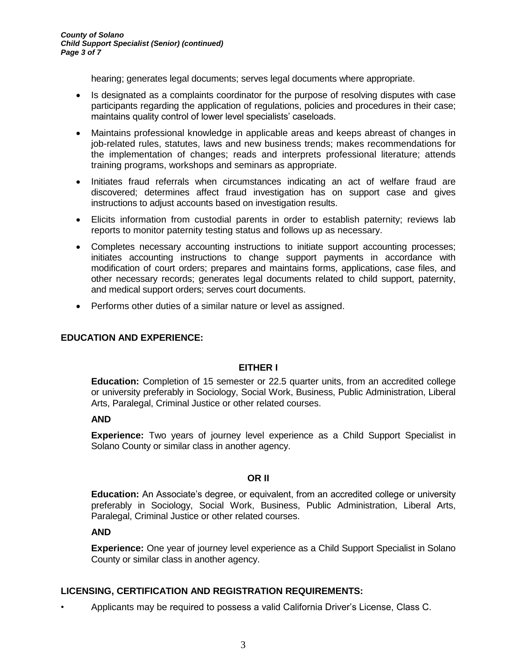hearing; generates legal documents; serves legal documents where appropriate.

- Is designated as a complaints coordinator for the purpose of resolving disputes with case participants regarding the application of regulations, policies and procedures in their case; maintains quality control of lower level specialists' caseloads.
- Maintains professional knowledge in applicable areas and keeps abreast of changes in job-related rules, statutes, laws and new business trends; makes recommendations for the implementation of changes; reads and interprets professional literature; attends training programs, workshops and seminars as appropriate.
- Initiates fraud referrals when circumstances indicating an act of welfare fraud are discovered; determines affect fraud investigation has on support case and gives instructions to adjust accounts based on investigation results.
- Elicits information from custodial parents in order to establish paternity; reviews lab reports to monitor paternity testing status and follows up as necessary.
- Completes necessary accounting instructions to initiate support accounting processes; initiates accounting instructions to change support payments in accordance with modification of court orders; prepares and maintains forms, applications, case files, and other necessary records; generates legal documents related to child support, paternity, and medical support orders; serves court documents.
- Performs other duties of a similar nature or level as assigned.

#### **EDUCATION AND EXPERIENCE:**

#### **EITHER I**

**Education:** Completion of 15 semester or 22.5 quarter units, from an accredited college or university preferably in Sociology, Social Work, Business, Public Administration, Liberal Arts, Paralegal, Criminal Justice or other related courses.

#### **AND**

**Experience:** Two years of journey level experience as a Child Support Specialist in Solano County or similar class in another agency.

#### **OR II**

**Education:** An Associate's degree, or equivalent, from an accredited college or university preferably in Sociology, Social Work, Business, Public Administration, Liberal Arts, Paralegal, Criminal Justice or other related courses.

#### **AND**

**Experience:** One year of journey level experience as a Child Support Specialist in Solano County or similar class in another agency.

#### **LICENSING, CERTIFICATION AND REGISTRATION REQUIREMENTS:**

• Applicants may be required to possess a valid California Driver's License, Class C.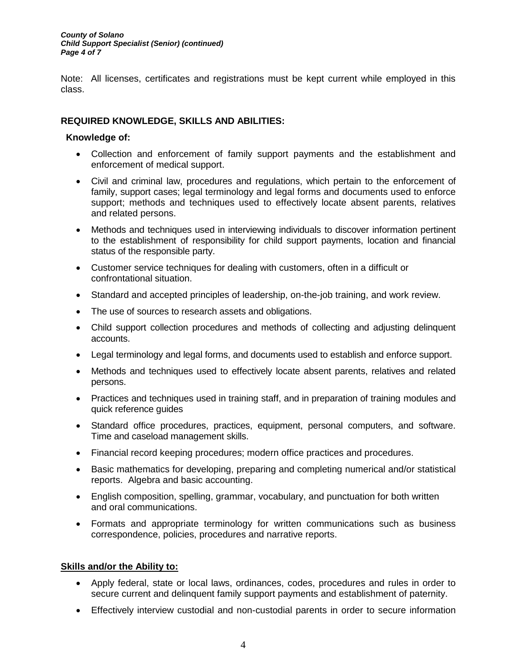#### *County of Solano Child Support Specialist (Senior) (continued) Page 4 of 7*

Note: All licenses, certificates and registrations must be kept current while employed in this class.

# **REQUIRED KNOWLEDGE, SKILLS AND ABILITIES:**

#### **Knowledge of:**

- Collection and enforcement of family support payments and the establishment and enforcement of medical support.
- Civil and criminal law, procedures and regulations, which pertain to the enforcement of family, support cases; legal terminology and legal forms and documents used to enforce support; methods and techniques used to effectively locate absent parents, relatives and related persons.
- Methods and techniques used in interviewing individuals to discover information pertinent to the establishment of responsibility for child support payments, location and financial status of the responsible party.
- Customer service techniques for dealing with customers, often in a difficult or confrontational situation.
- Standard and accepted principles of leadership, on-the-job training, and work review.
- The use of sources to research assets and obligations.
- Child support collection procedures and methods of collecting and adjusting delinquent accounts.
- Legal terminology and legal forms, and documents used to establish and enforce support.
- Methods and techniques used to effectively locate absent parents, relatives and related persons.
- Practices and techniques used in training staff, and in preparation of training modules and quick reference guides
- Standard office procedures, practices, equipment, personal computers, and software. Time and caseload management skills.
- Financial record keeping procedures; modern office practices and procedures.
- Basic mathematics for developing, preparing and completing numerical and/or statistical reports. Algebra and basic accounting.
- English composition, spelling, grammar, vocabulary, and punctuation for both written and oral communications.
- Formats and appropriate terminology for written communications such as business correspondence, policies, procedures and narrative reports.

#### **Skills and/or the Ability to:**

- Apply federal, state or local laws, ordinances, codes, procedures and rules in order to secure current and delinquent family support payments and establishment of paternity.
- Effectively interview custodial and non-custodial parents in order to secure information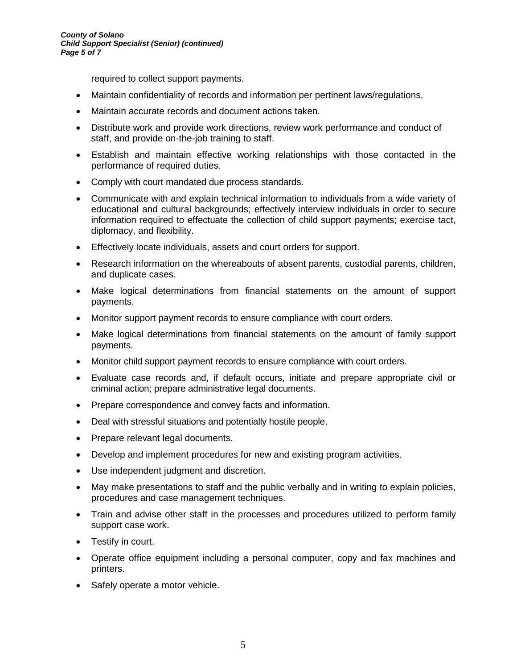required to collect support payments.

- Maintain confidentiality of records and information per pertinent laws/regulations.
- Maintain accurate records and document actions taken.
- Distribute work and provide work directions, review work performance and conduct of staff, and provide on-the-job training to staff.
- Establish and maintain effective working relationships with those contacted in the performance of required duties.
- Comply with court mandated due process standards.
- Communicate with and explain technical information to individuals from a wide variety of educational and cultural backgrounds; effectively interview individuals in order to secure information required to effectuate the collection of child support payments; exercise tact, diplomacy, and flexibility.
- Effectively locate individuals, assets and court orders for support.
- Research information on the whereabouts of absent parents, custodial parents, children, and duplicate cases.
- Make logical determinations from financial statements on the amount of support payments.
- Monitor support payment records to ensure compliance with court orders.
- Make logical determinations from financial statements on the amount of family support payments.
- Monitor child support payment records to ensure compliance with court orders.
- Evaluate case records and, if default occurs, initiate and prepare appropriate civil or criminal action; prepare administrative legal documents.
- Prepare correspondence and convey facts and information.
- Deal with stressful situations and potentially hostile people.
- Prepare relevant legal documents.
- Develop and implement procedures for new and existing program activities.
- Use independent judgment and discretion.
- May make presentations to staff and the public verbally and in writing to explain policies, procedures and case management techniques.
- Train and advise other staff in the processes and procedures utilized to perform family support case work.
- Testify in court.
- Operate office equipment including a personal computer, copy and fax machines and printers.
- Safely operate a motor vehicle.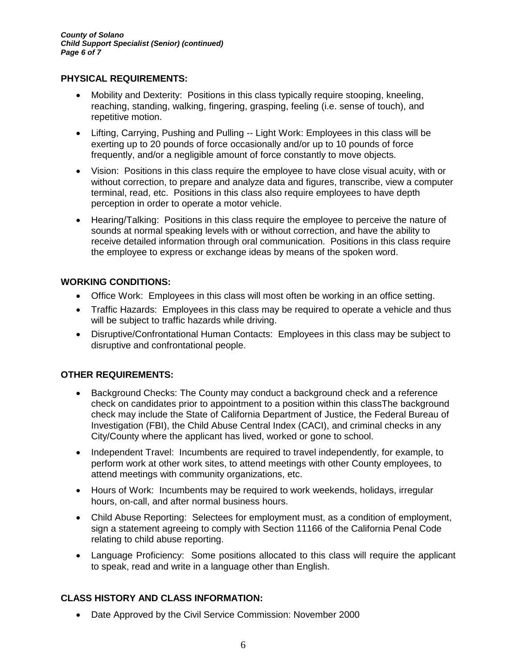### **PHYSICAL REQUIREMENTS:**

- Mobility and Dexterity: Positions in this class typically require stooping, kneeling, reaching, standing, walking, fingering, grasping, feeling (i.e. sense of touch), and repetitive motion.
- Lifting, Carrying, Pushing and Pulling -- Light Work: Employees in this class will be exerting up to 20 pounds of force occasionally and/or up to 10 pounds of force frequently, and/or a negligible amount of force constantly to move objects.
- Vision: Positions in this class require the employee to have close visual acuity, with or without correction, to prepare and analyze data and figures, transcribe, view a computer terminal, read, etc. Positions in this class also require employees to have depth perception in order to operate a motor vehicle.
- Hearing/Talking: Positions in this class require the employee to perceive the nature of sounds at normal speaking levels with or without correction, and have the ability to receive detailed information through oral communication. Positions in this class require the employee to express or exchange ideas by means of the spoken word.

# **WORKING CONDITIONS:**

- Office Work: Employees in this class will most often be working in an office setting.
- Traffic Hazards: Employees in this class may be required to operate a vehicle and thus will be subject to traffic hazards while driving.
- Disruptive/Confrontational Human Contacts: Employees in this class may be subject to disruptive and confrontational people.

# **OTHER REQUIREMENTS:**

- Background Checks: The County may conduct a background check and a reference check on candidates prior to appointment to a position within this classThe background check may include the State of California Department of Justice, the Federal Bureau of Investigation (FBI), the Child Abuse Central Index (CACI), and criminal checks in any City/County where the applicant has lived, worked or gone to school.
- Independent Travel: Incumbents are required to travel independently, for example, to perform work at other work sites, to attend meetings with other County employees, to attend meetings with community organizations, etc.
- Hours of Work: Incumbents may be required to work weekends, holidays, irregular hours, on-call, and after normal business hours.
- Child Abuse Reporting: Selectees for employment must, as a condition of employment, sign a statement agreeing to comply with Section 11166 of the California Penal Code relating to child abuse reporting.
- Language Proficiency: Some positions allocated to this class will require the applicant to speak, read and write in a language other than English.

# **CLASS HISTORY AND CLASS INFORMATION:**

• Date Approved by the Civil Service Commission: November 2000